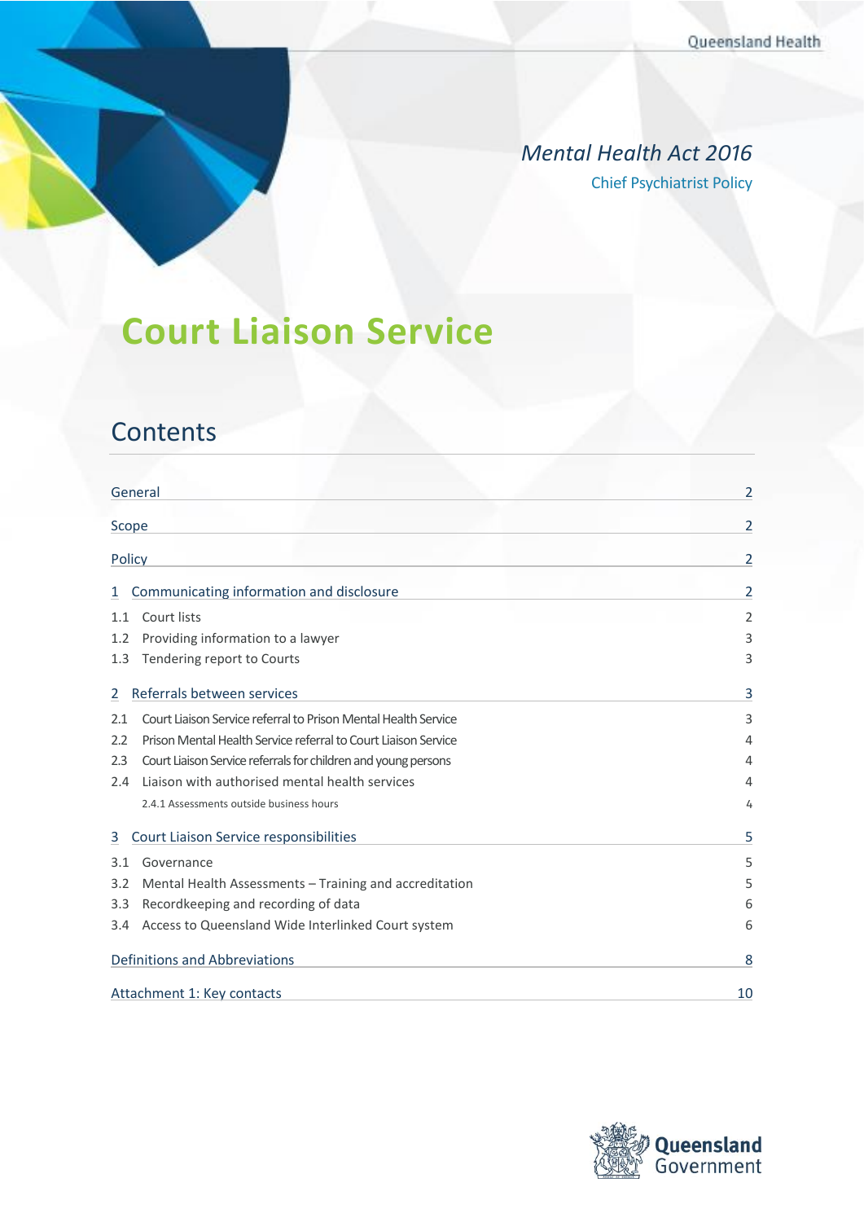### *Mental Health Act 2016* Chief Psychiatrist Policy

# **Court Liaison Service**

## **Contents**

| General                                                               | 2              |
|-----------------------------------------------------------------------|----------------|
| Scope                                                                 | $\overline{2}$ |
| Policy                                                                | 2              |
| Communicating information and disclosure<br>1                         | 2              |
| Court lists<br>1.1                                                    | 2              |
| Providing information to a lawyer<br>1.2                              | 3              |
| Tendering report to Courts<br>1.3                                     | 3              |
| Referrals between services<br>2                                       | 3              |
| Court Liaison Service referral to Prison Mental Health Service<br>2.1 | 3              |
| Prison Mental Health Service referral to Court Liaison Service<br>2.2 | $\overline{4}$ |
| Court Liaison Service referrals for children and young persons<br>2.3 | 4              |
| Liaison with authorised mental health services<br>2.4                 | 4              |
| 2.4.1 Assessments outside business hours                              | 4              |
| Court Liaison Service responsibilities<br>3                           | 5              |
| Governance<br>3.1                                                     | 5              |
| Mental Health Assessments - Training and accreditation<br>3.2         | 5              |
| Recordkeeping and recording of data<br>3.3                            | 6              |
| Access to Queensland Wide Interlinked Court system<br>3.4             | 6              |
| Definitions and Abbreviations                                         | 8              |
| Attachment 1: Key contacts                                            | 10             |

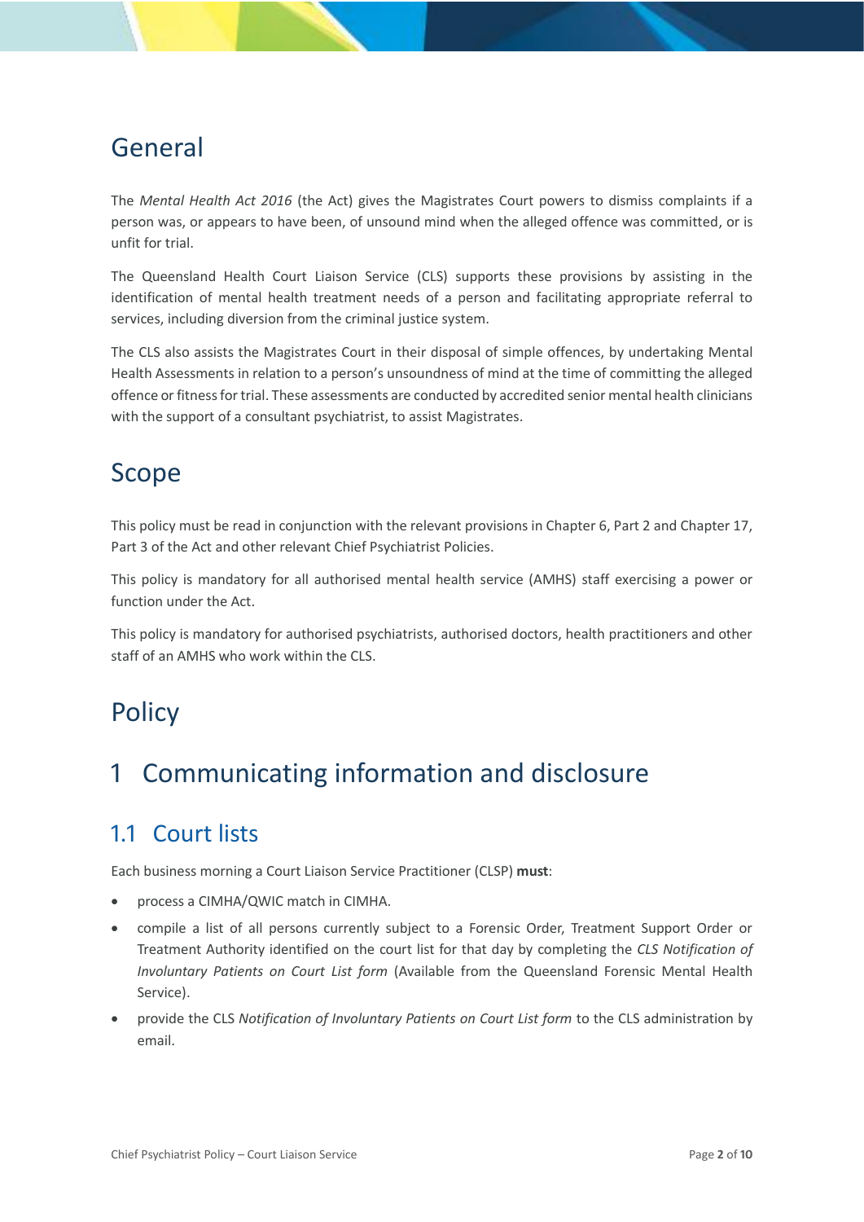## <span id="page-1-0"></span>General

The *Mental Health Act 2016* (the Act) gives the Magistrates Court powers to dismiss complaints if a person was, or appears to have been, of unsound mind when the alleged offence was committed, or is unfit for trial.

The Queensland Health Court Liaison Service (CLS) supports these provisions by assisting in the identification of mental health treatment needs of a person and facilitating appropriate referral to services, including diversion from the criminal justice system.

The CLS also assists the Magistrates Court in their disposal of simple offences, by undertaking Mental Health Assessments in relation to a person's unsoundness of mind at the time of committing the alleged offence or fitness for trial. These assessments are conducted by accredited senior mental health clinicians with the support of a consultant psychiatrist, to assist Magistrates.

## <span id="page-1-1"></span>Scope

This policy must be read in conjunction with the relevant provisions in Chapter 6, Part 2 and Chapter 17, Part 3 of the Act and other relevant Chief Psychiatrist Policies.

This policy is mandatory for all authorised mental health service (AMHS) staff exercising a power or function under the Act.

This policy is mandatory for authorised psychiatrists, authorised doctors, health practitioners and other staff of an AMHS who work within the CLS.

# <span id="page-1-2"></span>**Policy**

## <span id="page-1-3"></span>1 Communicating information and disclosure

## <span id="page-1-4"></span>1.1 Court lists

Each business morning a Court Liaison Service Practitioner (CLSP) **must**:

- process a CIMHA/QWIC match in CIMHA.
- compile a list of all persons currently subject to a Forensic Order, Treatment Support Order or Treatment Authority identified on the court list for that day by completing the *CLS Notification of Involuntary Patients on Court List form* (Available from the Queensland Forensic Mental Health Service).
- provide the CLS *Notification of Involuntary Patients on Court List form* to the CLS administration by email.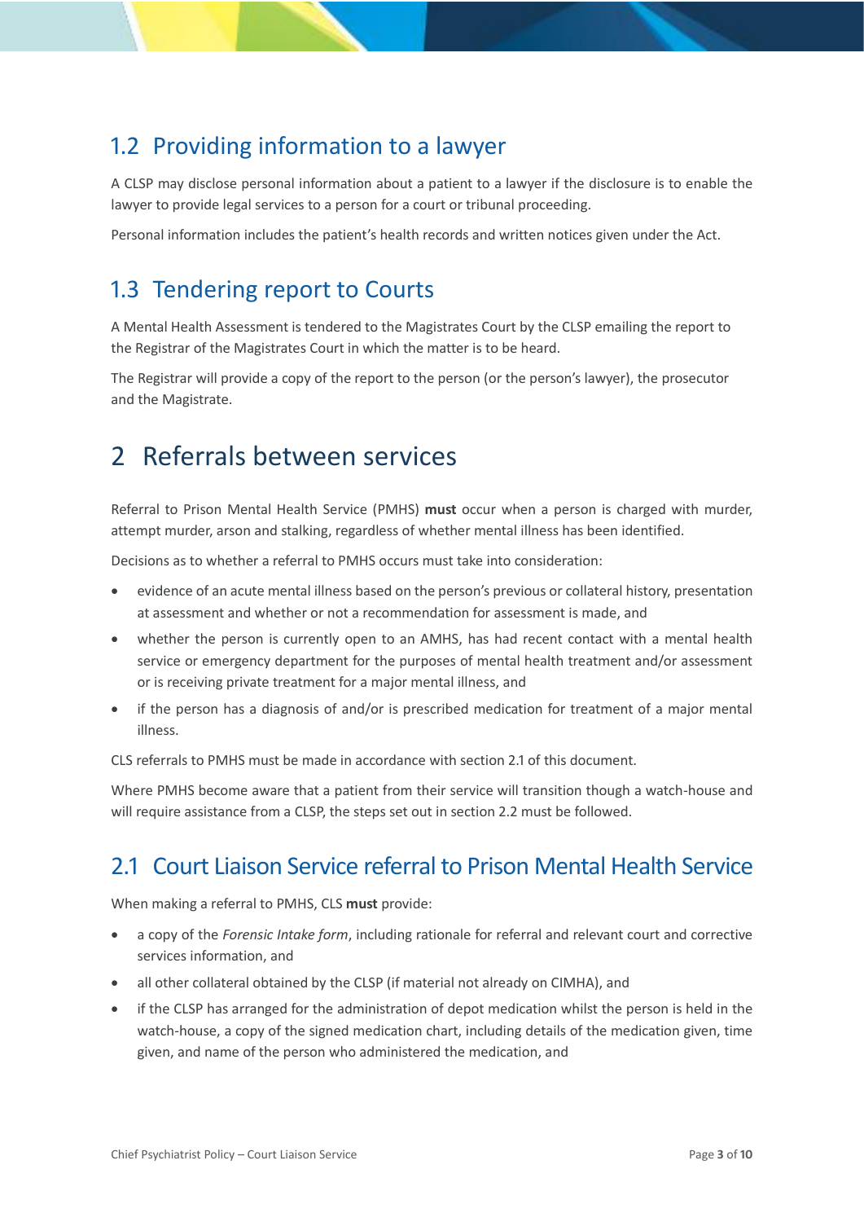## <span id="page-2-0"></span>1.2 Providing information to a lawyer

A CLSP may disclose personal information about a patient to a lawyer if the disclosure is to enable the lawyer to provide legal services to a person for a court or tribunal proceeding.

Personal information includes the patient's health records and written notices given under the Act.

## <span id="page-2-1"></span>1.3 Tendering report to Courts

A Mental Health Assessment is tendered to the Magistrates Court by the CLSP emailing the report to the Registrar of the Magistrates Court in which the matter is to be heard.

The Registrar will provide a copy of the report to the person (or the person's lawyer), the prosecutor and the Magistrate.

## <span id="page-2-2"></span>2 Referrals between services

Referral to Prison Mental Health Service (PMHS) **must** occur when a person is charged with murder, attempt murder, arson and stalking, regardless of whether mental illness has been identified.

Decisions as to whether a referral to PMHS occurs must take into consideration:

- evidence of an acute mental illness based on the person's previous or collateral history, presentation at assessment and whether or not a recommendation for assessment is made, and
- whether the person is currently open to an AMHS, has had recent contact with a mental health service or emergency department for the purposes of mental health treatment and/or assessment or is receiving private treatment for a major mental illness, and
- if the person has a diagnosis of and/or is prescribed medication for treatment of a major mental illness.

CLS referrals to PMHS must be made in accordance with section [2.1](#page-2-3) of this document.

Where PMHS become aware that a patient from their service will transition though a watch-house and will require assistance from a CLSP, the steps set out in sectio[n 2.2](#page-3-0) must be followed.

## <span id="page-2-3"></span>2.1 Court Liaison Service referral to Prison Mental Health Service

When making a referral to PMHS, CLS **must** provide:

- a copy of the *Forensic Intake form*, including rationale for referral and relevant court and corrective services information, and
- all other collateral obtained by the CLSP (if material not already on CIMHA), and
- if the CLSP has arranged for the administration of depot medication whilst the person is held in the watch-house, a copy of the signed medication chart, including details of the medication given, time given, and name of the person who administered the medication, and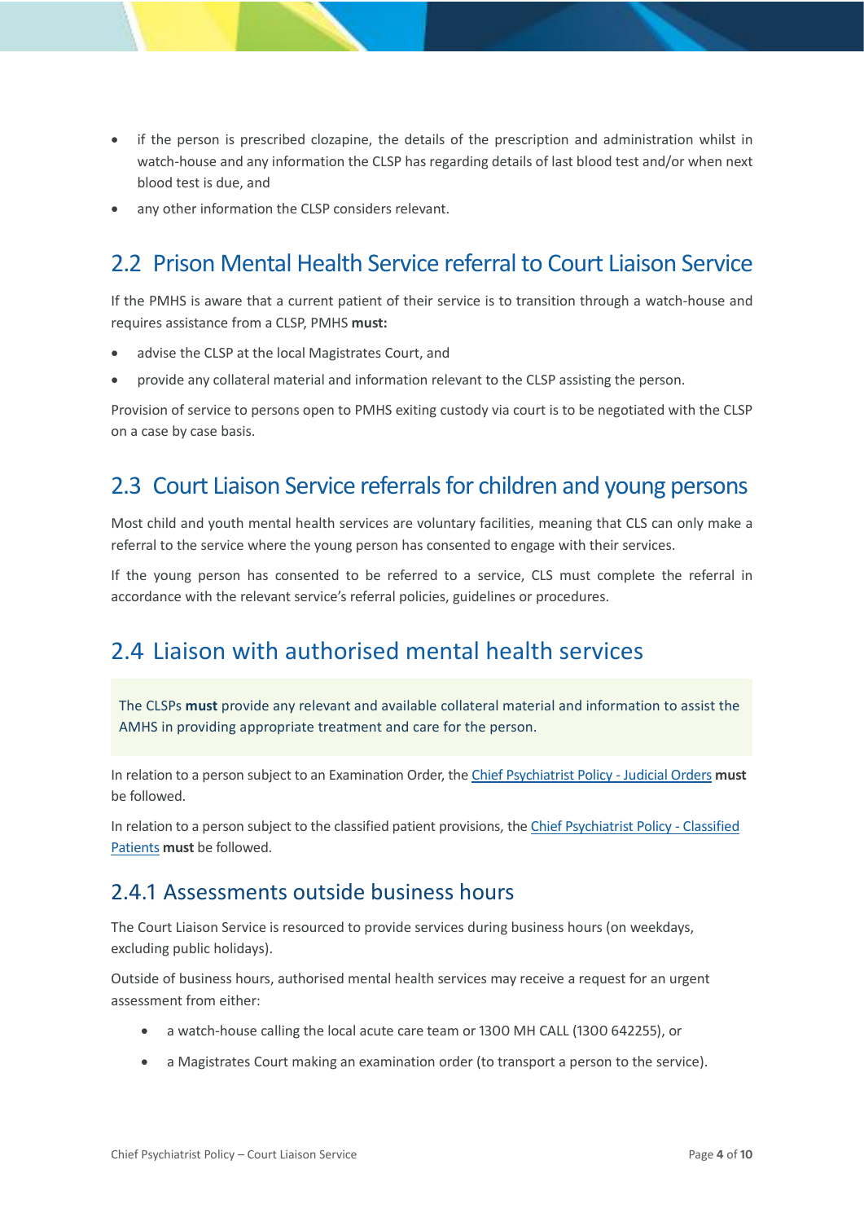- if the person is prescribed clozapine, the details of the prescription and administration whilst in watch-house and any information the CLSP has regarding details of last blood test and/or when next blood test is due, and
- <span id="page-3-0"></span>any other information the CLSP considers relevant.

## 2.2 Prison Mental Health Service referral to Court Liaison Service

If the PMHS is aware that a current patient of their service is to transition through a watch-house and requires assistance from a CLSP, PMHS **must:**

- advise the CLSP at the local Magistrates Court, and
- provide any collateral material and information relevant to the CLSP assisting the person.

Provision of service to persons open to PMHS exiting custody via court is to be negotiated with the CLSP on a case by case basis.

### <span id="page-3-1"></span>2.3 Court Liaison Service referrals for children and young persons

Most child and youth mental health services are voluntary facilities, meaning that CLS can only make a referral to the service where the young person has consented to engage with their services.

If the young person has consented to be referred to a service, CLS must complete the referral in accordance with the relevant service's referral policies, guidelines or procedures.

### <span id="page-3-2"></span>2.4 Liaison with authorised mental health services

The CLSPs **must** provide any relevant and available collateral material and information to assist the AMHS in providing appropriate treatment and care for the person.

In relation to a person subject to an Examination Order, th[e Chief Psychiatrist Policy -](https://www.health.qld.gov.au/__data/assets/pdf_file/0031/636844/pg_judicial_orders.pdf) Judicial Orders **must** be followed.

In relation to a person subject to the classified patient provisions, the [Chief Psychiatrist Policy](https://www.health.qld.gov.au/__data/assets/pdf_file/0025/465172/cpp-classified-patients.pdf) - Classified [Patients](https://www.health.qld.gov.au/__data/assets/pdf_file/0025/465172/cpp-classified-patients.pdf) **must** be followed.

### <span id="page-3-3"></span>2.4.1 Assessments outside business hours

The Court Liaison Service is resourced to provide services during business hours (on weekdays, excluding public holidays).

Outside of business hours, authorised mental health services may receive a request for an urgent assessment from either:

- a watch-house calling the local acute care team or 1300 MH CALL (1300 642255), or
- a Magistrates Court making an examination order (to transport a person to the service).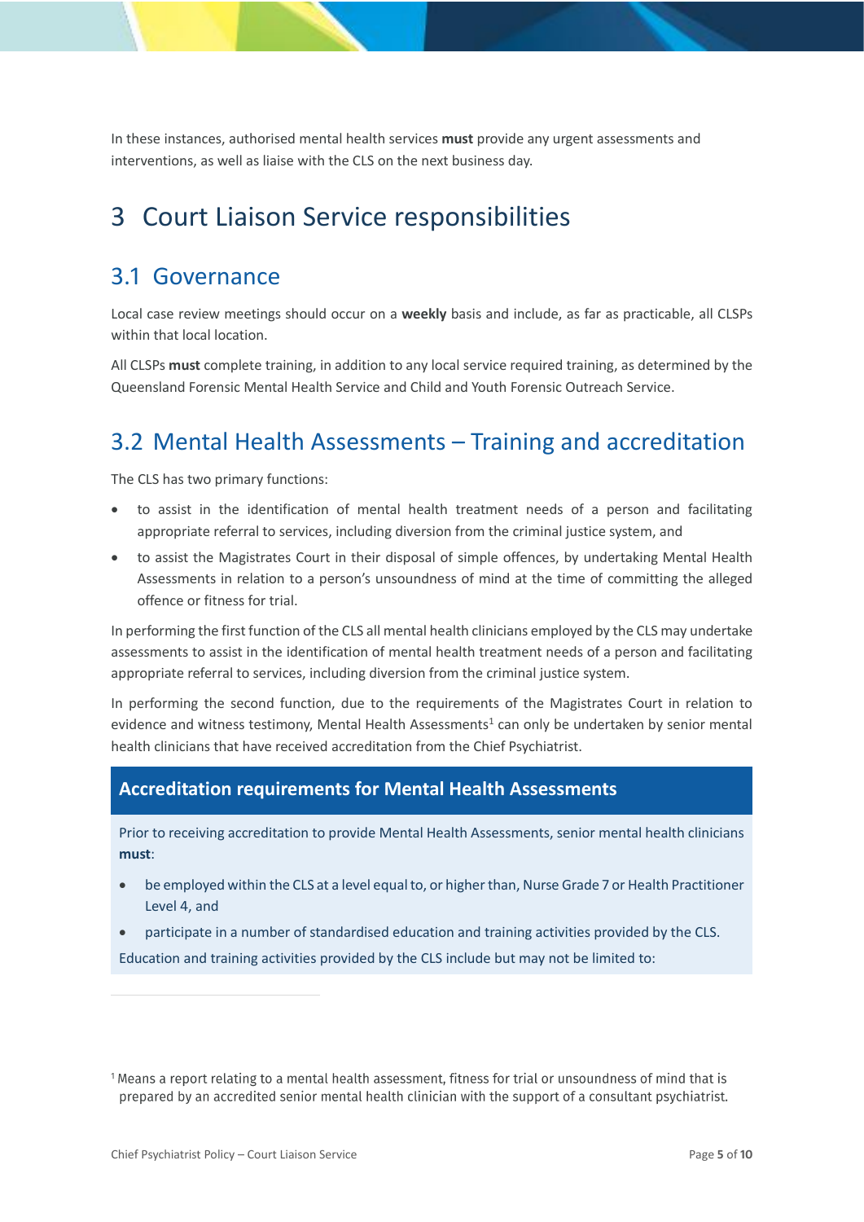In these instances, authorised mental health services **must** provide any urgent assessments and interventions, as well as liaise with the CLS on the next business day.

## <span id="page-4-0"></span>3 Court Liaison Service responsibilities

### <span id="page-4-1"></span>3.1 Governance

Local case review meetings should occur on a **weekly** basis and include, as far as practicable, all CLSPs within that local location.

All CLSPs **must** complete training, in addition to any local service required training, as determined by the Queensland Forensic Mental Health Service and Child and Youth Forensic Outreach Service.

## <span id="page-4-2"></span>3.2 Mental Health Assessments – Training and accreditation

The CLS has two primary functions:

- to assist in the identification of mental health treatment needs of a person and facilitating appropriate referral to services, including diversion from the criminal justice system, and
- to assist the Magistrates Court in their disposal of simple offences, by undertaking Mental Health Assessments in relation to a person's unsoundness of mind at the time of committing the alleged offence or fitness for trial.

In performing the first function of the CLS all mental health clinicians employed by the CLS may undertake assessments to assist in the identification of mental health treatment needs of a person and facilitating appropriate referral to services, including diversion from the criminal justice system.

In performing the second function, due to the requirements of the Magistrates Court in relation to evidence and witness testimony, Mental Health Assessments<sup>1</sup> can only be undertaken by senior mental health clinicians that have received accreditation from the Chief Psychiatrist.

### **Accreditation requirements for Mental Health Assessments**

Prior to receiving accreditation to provide Mental Health Assessments, senior mental health clinicians **must**:

- be employed within the CLS at a level equal to, or higher than, Nurse Grade 7 or Health Practitioner Level 4, and
- participate in a number of standardised education and training activities provided by the CLS.

Education and training activities provided by the CLS include but may not be limited to:

<sup>&</sup>lt;sup>1</sup> Means a report relating to a mental health assessment, fitness for trial or unsoundness of mind that is prepared by an accredited senior mental health clinician with the support of a consultant psychiatrist.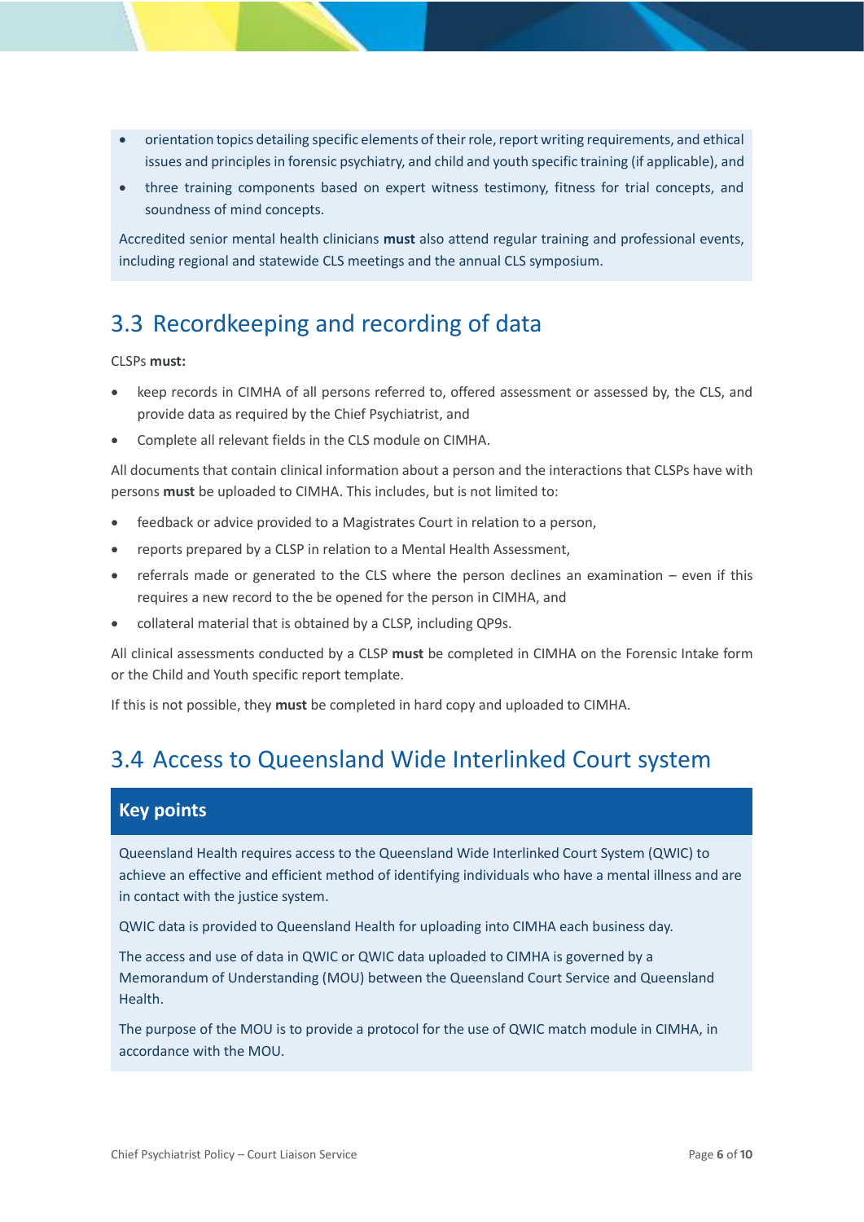- orientation topics detailing specific elements of their role, report writing requirements, and ethical issues and principles in forensic psychiatry, and child and youth specific training (if applicable), and
- three training components based on expert witness testimony, fitness for trial concepts, and soundness of mind concepts.

Accredited senior mental health clinicians **must** also attend regular training and professional events, including regional and statewide CLS meetings and the annual CLS symposium.

## <span id="page-5-0"></span>3.3 Recordkeeping and recording of data

### CLSPs **must:**

- keep records in CIMHA of all persons referred to, offered assessment or assessed by, the CLS, and provide data as required by the Chief Psychiatrist, and
- Complete all relevant fields in the CLS module on CIMHA.

All documents that contain clinical information about a person and the interactions that CLSPs have with persons **must** be uploaded to CIMHA. This includes, but is not limited to:

- feedback or advice provided to a Magistrates Court in relation to a person,
- reports prepared by a CLSP in relation to a Mental Health Assessment,
- referrals made or generated to the CLS where the person declines an examination even if this requires a new record to the be opened for the person in CIMHA, and
- collateral material that is obtained by a CLSP, including QP9s.

All clinical assessments conducted by a CLSP **must** be completed in CIMHA on the Forensic Intake form or the Child and Youth specific report template.

<span id="page-5-1"></span>If this is not possible, they **must** be completed in hard copy and uploaded to CIMHA.

### 3.4 Access to Queensland Wide Interlinked Court system

### **Key points**

Queensland Health requires access to the Queensland Wide Interlinked Court System (QWIC) to achieve an effective and efficient method of identifying individuals who have a mental illness and are in contact with the justice system.

QWIC data is provided to Queensland Health for uploading into CIMHA each business day.

The access and use of data in QWIC or QWIC data uploaded to CIMHA is governed by a Memorandum of Understanding (MOU) between the Queensland Court Service and Queensland Health.

The purpose of the MOU is to provide a protocol for the use of QWIC match module in CIMHA, in accordance with the MOU.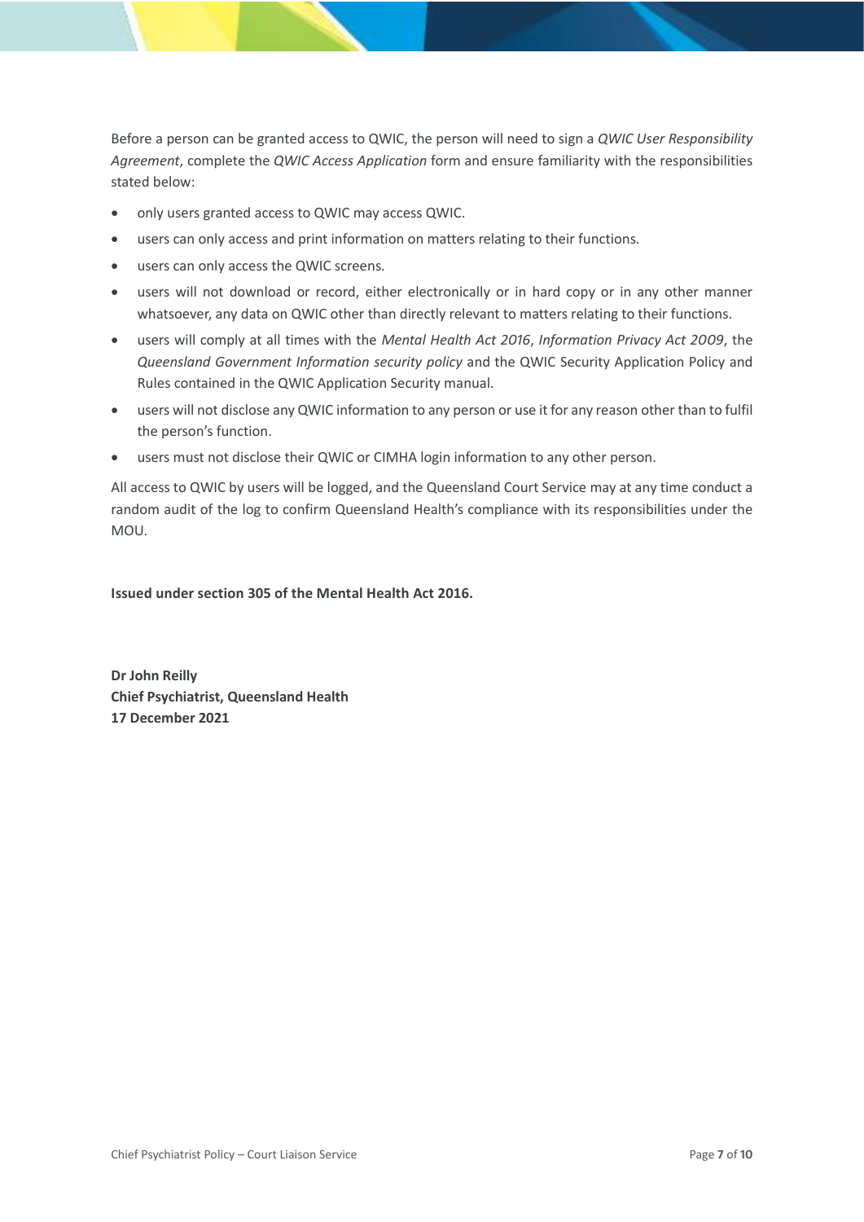Before a person can be granted access to QWIC, the person will need to sign a *QWIC User Responsibility Agreement*, complete the *QWIC Access Application* form and ensure familiarity with the responsibilities stated below:

- only users granted access to QWIC may access QWIC.
- users can only access and print information on matters relating to their functions.
- users can only access the QWIC screens.
- users will not download or record, either electronically or in hard copy or in any other manner whatsoever, any data on QWIC other than directly relevant to matters relating to their functions.
- users will comply at all times with the *Mental Health Act 2016*, *Information Privacy Act 2009*, the *Queensland Government Information security policy* and the QWIC Security Application Policy and Rules contained in the QWIC Application Security manual.
- users will not disclose any QWIC information to any person or use it for any reason other than to fulfil the person's function.
- users must not disclose their QWIC or CIMHA login information to any other person.

All access to QWIC by users will be logged, and the Queensland Court Service may at any time conduct a random audit of the log to confirm Queensland Health's compliance with its responsibilities under the MOU.

**Issued under section 305 of the Mental Health Act 2016.**

**Dr John Reilly Chief Psychiatrist, Queensland Health 17 December 2021**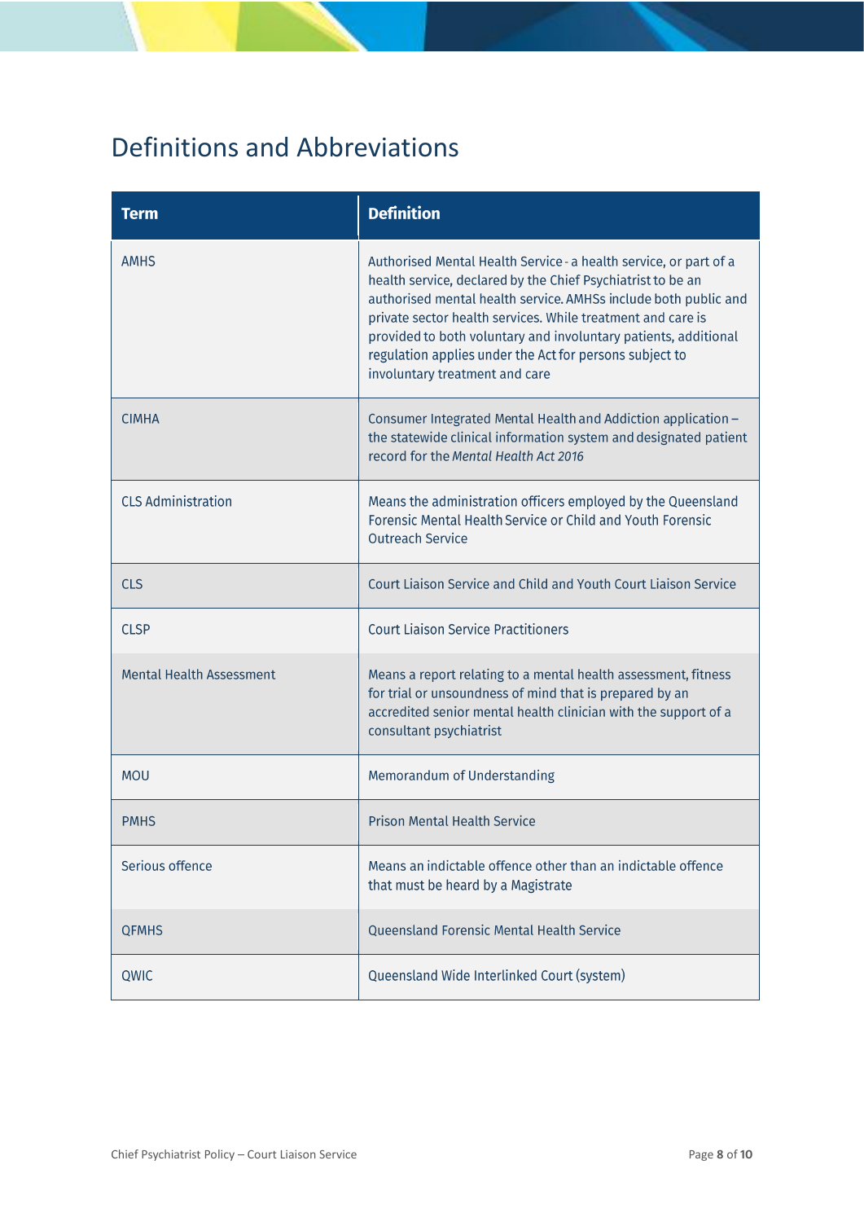# <span id="page-7-0"></span>Definitions and Abbreviations

| <b>Term</b>                     | <b>Definition</b>                                                                                                                                                                                                                                                                                                                                                                                                                  |
|---------------------------------|------------------------------------------------------------------------------------------------------------------------------------------------------------------------------------------------------------------------------------------------------------------------------------------------------------------------------------------------------------------------------------------------------------------------------------|
| <b>AMHS</b>                     | Authorised Mental Health Service - a health service, or part of a<br>health service, declared by the Chief Psychiatrist to be an<br>authorised mental health service. AMHSs include both public and<br>private sector health services. While treatment and care is<br>provided to both voluntary and involuntary patients, additional<br>regulation applies under the Act for persons subject to<br>involuntary treatment and care |
| <b>CIMHA</b>                    | Consumer Integrated Mental Health and Addiction application -<br>the statewide clinical information system and designated patient<br>record for the Mental Health Act 2016                                                                                                                                                                                                                                                         |
| <b>CLS Administration</b>       | Means the administration officers employed by the Queensland<br>Forensic Mental Health Service or Child and Youth Forensic<br><b>Outreach Service</b>                                                                                                                                                                                                                                                                              |
| <b>CLS</b>                      | Court Liaison Service and Child and Youth Court Liaison Service                                                                                                                                                                                                                                                                                                                                                                    |
| <b>CLSP</b>                     | <b>Court Liaison Service Practitioners</b>                                                                                                                                                                                                                                                                                                                                                                                         |
| <b>Mental Health Assessment</b> | Means a report relating to a mental health assessment, fitness<br>for trial or unsoundness of mind that is prepared by an<br>accredited senior mental health clinician with the support of a<br>consultant psychiatrist                                                                                                                                                                                                            |
| <b>MOU</b>                      | Memorandum of Understanding                                                                                                                                                                                                                                                                                                                                                                                                        |
| <b>PMHS</b>                     | <b>Prison Mental Health Service</b>                                                                                                                                                                                                                                                                                                                                                                                                |
| Serious offence                 | Means an indictable offence other than an indictable offence<br>that must be heard by a Magistrate                                                                                                                                                                                                                                                                                                                                 |
| <b>QFMHS</b>                    | Queensland Forensic Mental Health Service                                                                                                                                                                                                                                                                                                                                                                                          |
| QWIC                            | Queensland Wide Interlinked Court (system)                                                                                                                                                                                                                                                                                                                                                                                         |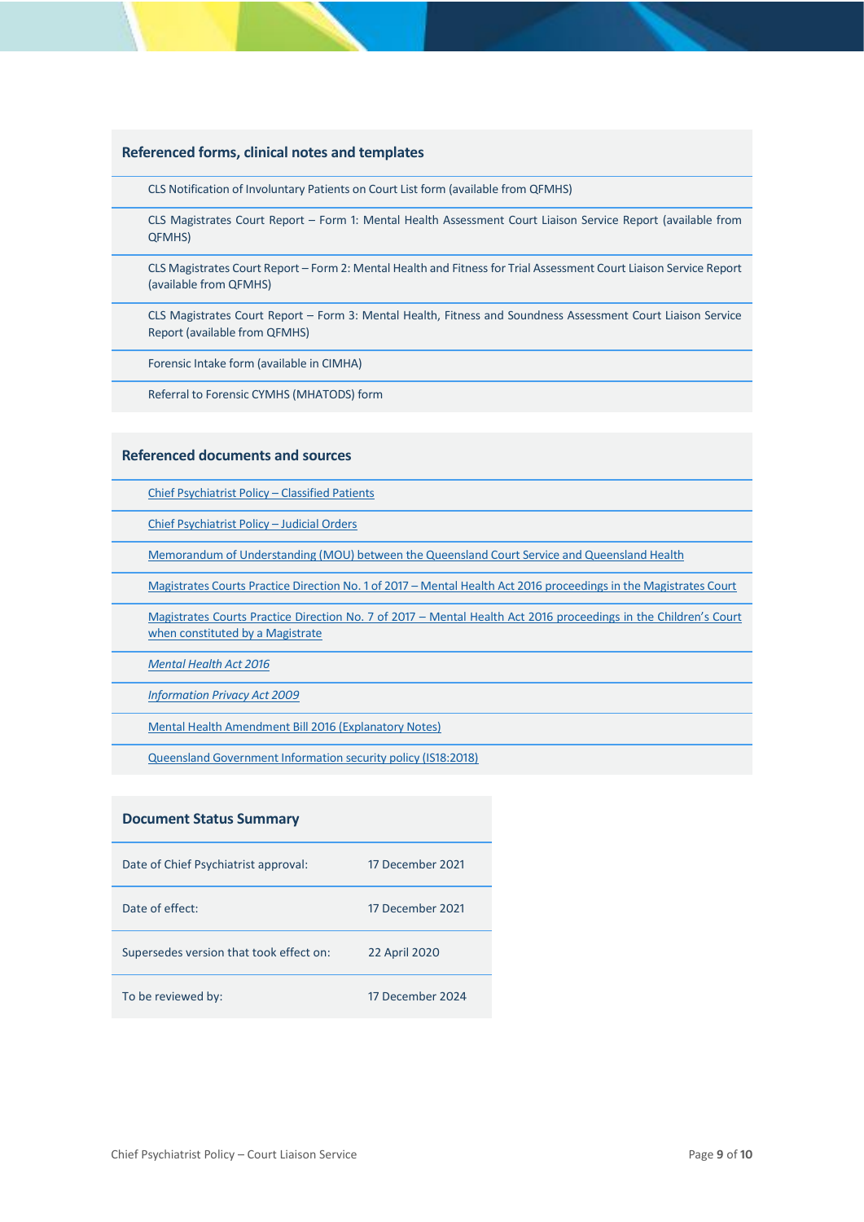#### **Referenced forms, clinical notes and templates**

CLS Notification of Involuntary Patients on Court List form (available from QFMHS)

CLS Magistrates Court Report – Form 1: Mental Health Assessment Court Liaison Service Report (available from QFMHS)

CLS Magistrates Court Report – Form 2: Mental Health and Fitness for Trial Assessment Court Liaison Service Report (available from QFMHS)

CLS Magistrates Court Report – Form 3: Mental Health, Fitness and Soundness Assessment Court Liaison Service Report (available from QFMHS)

Forensic Intake form (available in CIMHA)

Referral to Forensic CYMHS (MHATODS) form

#### **Referenced documents and sources**

[Chief Psychiatrist Policy –](https://www.health.qld.gov.au/__data/assets/pdf_file/0025/465172/cpp-classified-patients.pdf) Classified Patients

[Chief Psychiatrist Policy –](https://www.health.qld.gov.au/__data/assets/pdf_file/0031/636844/cpp_judicial_orders.pdf) Judicial Orders

[Memorandum of Understanding \(MOU\) between the Queensland Court Service and Queensland Health](https://www.health.qld.gov.au/__data/assets/pdf_file/0027/444681/mou-cls-sep2011.pdf)

Magistrates Courts Practice Direction No. 1 of 2017 – [Mental Health Act 2016 proceedings in the Magistrates Court](https://www.courts.qld.gov.au/courts/magistrates-court/practice-directions)

Magistrates Courts Practice Direction No. 7 of 2017 – [Mental Health Act 2016 proceedings in the Children's Court](https://www.courts.qld.gov.au/courts/magistrates-court/practice-directions)  [when constituted by a Magistrate](https://www.courts.qld.gov.au/courts/magistrates-court/practice-directions)

*[Mental Health Act 2016](https://www.legislation.qld.gov.au/view/html/inforce/current/act-2016-005)*

*[Information Privacy Act 2009](https://www.legislation.qld.gov.au/view/html/inforce/current/act-2009-014)*

[Mental Health Amendment Bill 2016 \(Explanatory Notes\)](https://www.legislation.qld.gov.au/view/html/bill.first/bill-2016-128/lh)

[Queensland Government Information](https://www.qgcio.qld.gov.au/documents/information-security-policy) security policy (IS18:2018)

#### **Document Status Summary**

| Date of Chief Psychiatrist approval:    | 17 December 2021 |
|-----------------------------------------|------------------|
| Date of effect:                         | 17 December 2021 |
| Supersedes version that took effect on: | 22 April 2020    |
| To be reviewed by:                      | 17 December 2024 |